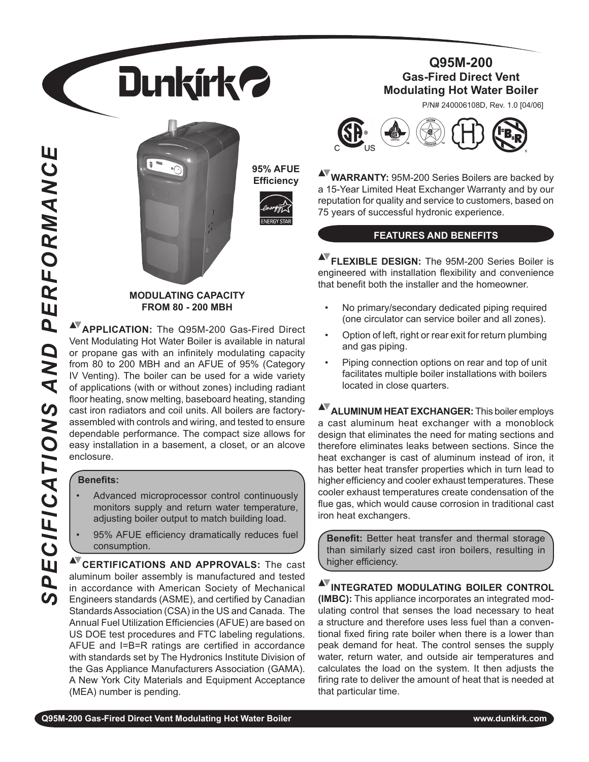



**95% AFUE Efficiency**



### **MODULATING CAPACITY FROM 80 - 200 MBH**

**APPLICATION:** The Q95M-200 Gas-Fired Direct Vent Modulating Hot Water Boiler is available in natural or propane gas with an infinitely modulating capacity from 80 to 200 MBH and an AFUE of 95% (Category IV Venting). The boiler can be used for a wide variety of applications (with or without zones) including radiant floor heating, snow melting, baseboard heating, standing cast iron radiators and coil units. All boilers are factoryassembled with controls and wiring, and tested to ensure dependable performance. The compact size allows for easy installation in a basement, a closet, or an alcove enclosure.

## **Benefits:**

 *SPECIFICATIONS AND PERFORMANCE*

ECIFICATIONS

 $\overline{\mathbf{q}}$  $\boldsymbol{\omega}$ 

AND

PERFORMANCE

- Advanced microprocessor control continuously monitors supply and return water temperature, adjusting boiler output to match building load. •
- 95% AFUE efficiency dramatically reduces fuel consumption. •

**AV CERTIFICATIONS AND APPROVALS:** The cast aluminum boiler assembly is manufactured and tested in accordance with American Society of Mechanical Engineers standards (ASME), and certified by Canadian Standards Association (CSA) in the US and Canada. The Annual Fuel Utilization Efficiencies (AFUE) are based on US DOE test procedures and FTC labeling regulations. AFUE and I=B=R ratings are certified in accordance with standards set by The Hydronics Institute Division of the Gas Appliance Manufacturers Association (GAMA). A New York City Materials and Equipment Acceptance (MEA) number is pending.

## **Q95M-200 Gas-Fired Direct Vent Modulating Hot Water Boiler**

P/N# 240006108D, Rev. 1.0 [04/06]



**WARRANTY:** 95M-200 Series Boilers are backed by a 15-Year Limited Heat Exchanger Warranty and by our reputation for quality and service to customers, based on 75 years of successful hydronic experience.

## **FEATURES AND BENEFITS**

**AV FLEXIBLE DESIGN:** The 95M-200 Series Boiler is engineered with installation flexibility and convenience that benefit both the installer and the homeowner.

- No primary/secondary dedicated piping required (one circulator can service boiler and all zones). •
- Option of left, right or rear exit for return plumbing and gas piping. •
- Piping connection options on rear and top of unit facilitates multiple boiler installations with boilers located in close quarters. •

**AV ALUMINUM HEAT EXCHANGER:** This boiler employs a cast aluminum heat exchanger with a monoblock design that eliminates the need for mating sections and therefore eliminates leaks between sections. Since the heat exchanger is cast of aluminum instead of iron, it has better heat transfer properties which in turn lead to higher efficiency and cooler exhaust temperatures. These cooler exhaust temperatures create condensation of the flue gas, which would cause corrosion in traditional cast iron heat exchangers.

**Benefit:** Better heat transfer and thermal storage than similarly sized cast iron boilers, resulting in higher efficiency.

**AVINTEGRATED MODULATING BOILER CONTROL (IMBC):** This appliance incorporates an integrated modulating control that senses the load necessary to heat a structure and therefore uses less fuel than a conventional fixed firing rate boiler when there is a lower than peak demand for heat. The control senses the supply water, return water, and outside air temperatures and calculates the load on the system. It then adjusts the firing rate to deliver the amount of heat that is needed at that particular time.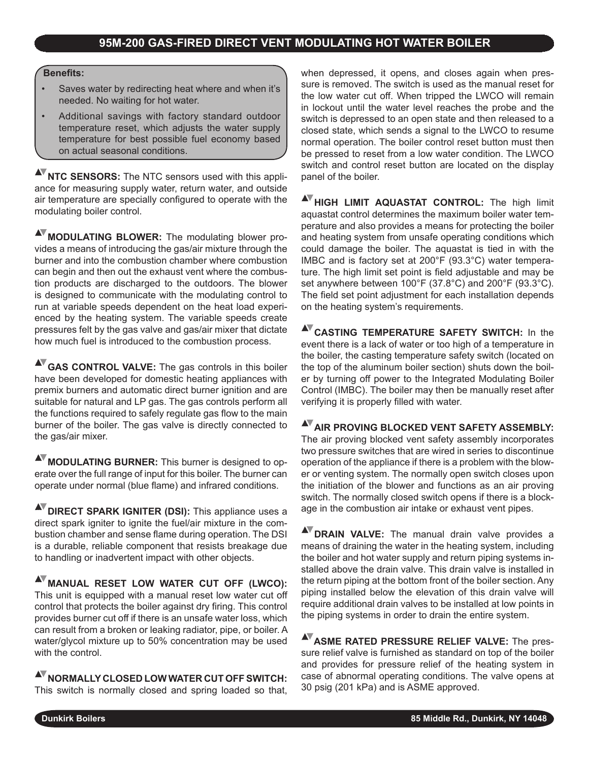## **Benefits:**

- Saves water by redirecting heat where and when it's needed. No waiting for hot water. •
- Additional savings with factory standard outdoor temperature reset, which adjusts the water supply temperature for best possible fuel economy based on actual seasonal conditions. •

**NTC SENSORS:** The NTC sensors used with this appliance for measuring supply water, return water, and outside air temperature are specially configured to operate with the modulating boiler control.

**MODULATING BLOWER:** The modulating blower provides a means of introducing the gas/air mixture through the burner and into the combustion chamber where combustion can begin and then out the exhaust vent where the combustion products are discharged to the outdoors. The blower is designed to communicate with the modulating control to run at variable speeds dependent on the heat load experienced by the heating system. The variable speeds create pressures felt by the gas valve and gas/air mixer that dictate how much fuel is introduced to the combustion process.

**GAS CONTROL VALVE:** The gas controls in this boiler have been developed for domestic heating appliances with premix burners and automatic direct burner ignition and are suitable for natural and LP gas. The gas controls perform all the functions required to safely regulate gas flow to the main burner of the boiler. The gas valve is directly connected to the gas/air mixer.

**MODULATING BURNER:** This burner is designed to operate over the full range of input for this boiler. The burner can operate under normal (blue flame) and infrared conditions.

**AV** DIRECT SPARK IGNITER (DSI): This appliance uses a direct spark igniter to ignite the fuel/air mixture in the combustion chamber and sense flame during operation. The DSI is a durable, reliable component that resists breakage due to handling or inadvertent impact with other objects.

**AV MANUAL RESET LOW WATER CUT OFF (LWCO):** This unit is equipped with a manual reset low water cut off control that protects the boiler against dry firing. This control provides burner cut off if there is an unsafe water loss, which can result from a broken or leaking radiator, pipe, or boiler. A water/glycol mixture up to 50% concentration may be used with the control.

**NORMALLY CLOSED LOW WATER CUT OFF SWITCH:** This switch is normally closed and spring loaded so that, when depressed, it opens, and closes again when pressure is removed. The switch is used as the manual reset for the low water cut off. When tripped the LWCO will remain in lockout until the water level reaches the probe and the switch is depressed to an open state and then released to a closed state, which sends a signal to the LWCO to resume normal operation. The boiler control reset button must then be pressed to reset from a low water condition. The LWCO switch and control reset button are located on the display panel of the boiler.

**AV HIGH LIMIT AQUASTAT CONTROL:** The high limit aquastat control determines the maximum boiler water temperature and also provides a means for protecting the boiler and heating system from unsafe operating conditions which could damage the boiler. The aquastat is tied in with the IMBC and is factory set at 200°F (93.3°C) water temperature. The high limit set point is field adjustable and may be set anywhere between 100°F (37.8°C) and 200°F (93.3°C). The field set point adjustment for each installation depends on the heating system's requirements.

**AV CASTING TEMPERATURE SAFETY SWITCH:** In the event there is a lack of water or too high of a temperature in the boiler, the casting temperature safety switch (located on the top of the aluminum boiler section) shuts down the boiler by turning off power to the Integrated Modulating Boiler Control (IMBC). The boiler may then be manually reset after verifying it is properly filled with water.

**AV AIR PROVING BLOCKED VENT SAFETY ASSEMBLY:** The air proving blocked vent safety assembly incorporates two pressure switches that are wired in series to discontinue operation of the appliance if there is a problem with the blower or venting system. The normally open switch closes upon the initiation of the blower and functions as an air proving switch. The normally closed switch opens if there is a blockage in the combustion air intake or exhaust vent pipes.

**NV** DRAIN VALVE: The manual drain valve provides a means of draining the water in the heating system, including the boiler and hot water supply and return piping systems installed above the drain valve. This drain valve is installed in the return piping at the bottom front of the boiler section. Any piping installed below the elevation of this drain valve will require additional drain valves to be installed at low points in the piping systems in order to drain the entire system.

**ASME RATED PRESSURE RELIEF VALVE:** The pressure relief valve is furnished as standard on top of the boiler and provides for pressure relief of the heating system in case of abnormal operating conditions. The valve opens at 30 psig (201 kPa) and is ASME approved.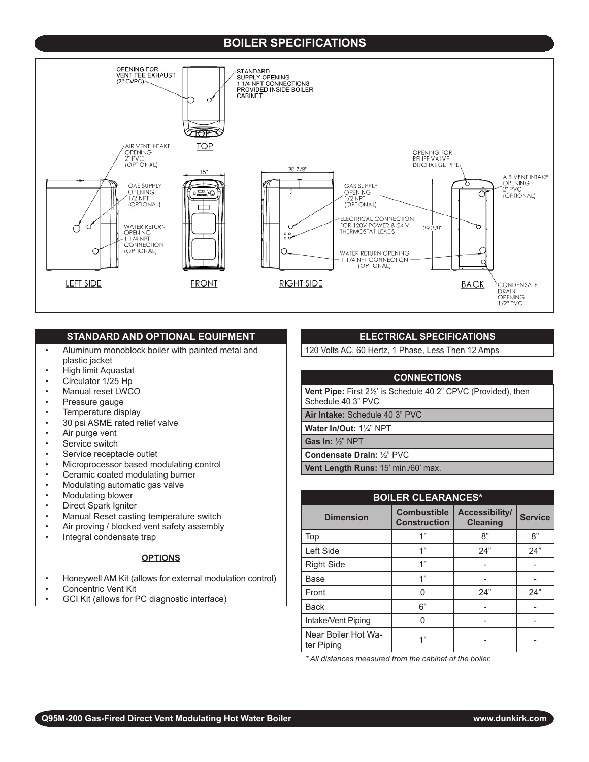## **BOILER SPECIFICATIONS**



#### **STANDARD AND OPTIONAL EQUIPMENT**

- Aluminum monoblock boiler with painted metal and plastic jacket •
- High limit Aquastat •
- Circulator 1/25 Hp •
- Manual reset LWCO •
- Pressure gauge •
- Temperature display •
- 30 psi ASME rated relief valve •
- Air purge vent •
- Service switch •
- Service receptacle outlet •
- Microprocessor based modulating control •
- Ceramic coated modulating burner •
- Modulating automatic gas valve •
- Modulating blower •
- Direct Spark Igniter •
- Manual Reset casting temperature switch •
- Air proving / blocked vent safety assembly •
- Integral condensate trap •

#### **OPTIONS**

- Honeywell AM Kit (allows for external modulation control) •
- Concentric Vent Kit •
- GCI Kit (allows for PC diagnostic interface) •

### **ELECTRICAL SPECIFICATIONS**

120 Volts AC, 60 Hertz, 1 Phase, Less Then 12 Amps

## **CONNECTIONS**

**Vent Pipe:** First 2½' is Schedule 40 2" CPVC (Provided), then Schedule 40 3" PVC

**Air Intake:** Schedule 40 3" PVC

**Water In/Out:** 1¼" NPT

**Gas In:** ½" NPT

**Condensate Drain:** ½" PVC

Vent Length Runs: 15' min./60' max.

| <b>BOILER CLEARANCES*</b>         |                                           |                                   |                |  |
|-----------------------------------|-------------------------------------------|-----------------------------------|----------------|--|
| <b>Dimension</b>                  | <b>Combustible</b><br><b>Construction</b> | Accessibility/<br><b>Cleaning</b> | <b>Service</b> |  |
| Top                               | 1"                                        | 8"                                | 8"             |  |
| Left Side                         | 1"                                        | 24"                               | 24"            |  |
| <b>Right Side</b>                 | 1"                                        |                                   |                |  |
| Base                              | 1"                                        |                                   |                |  |
| Front                             | U                                         | 24"                               | 24"            |  |
| <b>Back</b>                       | 6"                                        |                                   |                |  |
| Intake/Vent Piping                |                                           |                                   |                |  |
| Near Boiler Hot Wa-<br>ter Piping | 4"                                        |                                   |                |  |

*\* All distances measured from the cabinet of the boiler.*